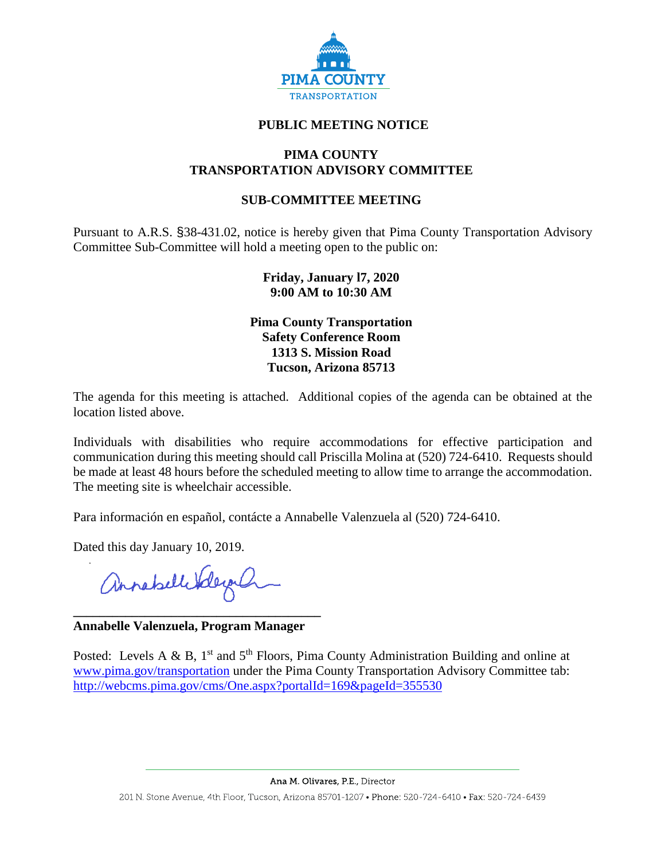

## **PUBLIC MEETING NOTICE**

### **PIMA COUNTY TRANSPORTATION ADVISORY COMMITTEE**

## **SUB-COMMITTEE MEETING**

Pursuant to A.R.S. §38-431.02, notice is hereby given that Pima County Transportation Advisory Committee Sub-Committee will hold a meeting open to the public on:

### **Friday, January l7, 2020 9:00 AM to 10:30 AM**

**Pima County Transportation Safety Conference Room 1313 S. Mission Road Tucson, Arizona 85713**

The agenda for this meeting is attached. Additional copies of the agenda can be obtained at the location listed above.

Individuals with disabilities who require accommodations for effective participation and communication during this meeting should call Priscilla Molina at (520) 724-6410. Requests should be made at least 48 hours before the scheduled meeting to allow time to arrange the accommodation. The meeting site is wheelchair accessible.

Para información en español, contácte a Annabelle Valenzuela al (520) 724-6410.

Dated this day January 10, 2019.

annahellikegal

#### **\_\_\_\_\_\_\_\_\_\_\_\_\_\_\_\_\_\_\_\_\_\_\_\_\_\_\_\_\_\_\_\_\_\_\_\_\_\_ Annabelle Valenzuela, Program Manager**

Posted: Levels A & B,  $1<sup>st</sup>$  and  $5<sup>th</sup>$  Floors, Pima County Administration Building and online at [www.pima.gov/transportation](http://www.pima.gov/transportation) under the Pima County Transportation Advisory Committee tab: <http://webcms.pima.gov/cms/One.aspx?portalId=169&pageId=355530>

Ana M. Olivares, P.E., Director